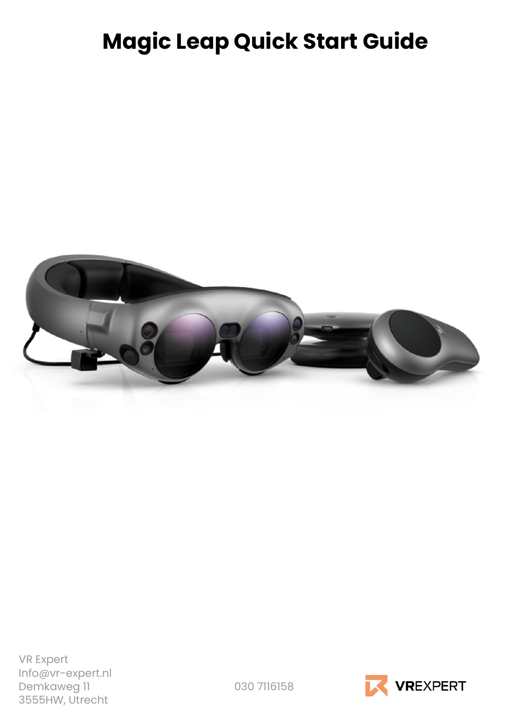# **Magic Leap Quick Start Guide**



VR Expert Info@vr-expert.nl Demkaweg 11 030 7116158 3555HW, Utrecht

**VREXPERT**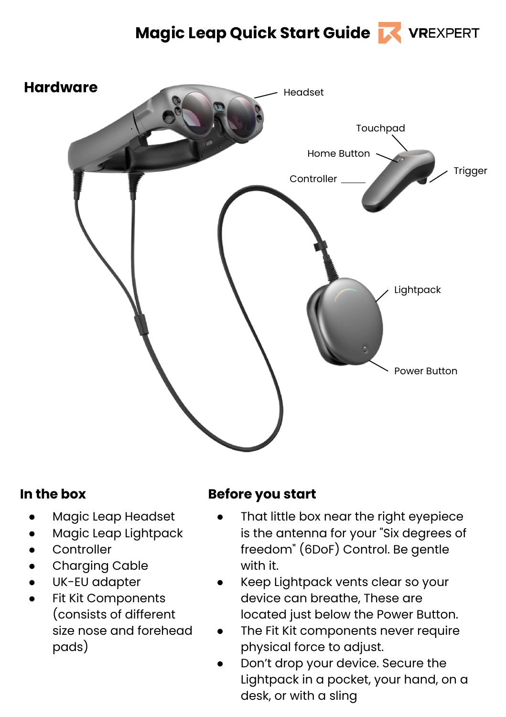# **Magic Leap Quick Start Guide**



#### **In the box**

- Magic Leap Headset
- Magic Leap Lightpack
- Controller
- Charging Cable
- UK-EU adapter
- Fit Kit Components (consists of different size nose and forehead pads)

#### **Before you start**

- That little box near the right eyepiece is the antenna for your "Six degrees of freedom" (6DoF) Control. Be gentle with it.
- Keep Lightpack vents clear so your device can breathe, These are located just below the Power Button.
- The Fit Kit components never require physical force to adjust.
- Don't drop your device. Secure the Lightpack in a pocket, your hand, on a desk, or with a sling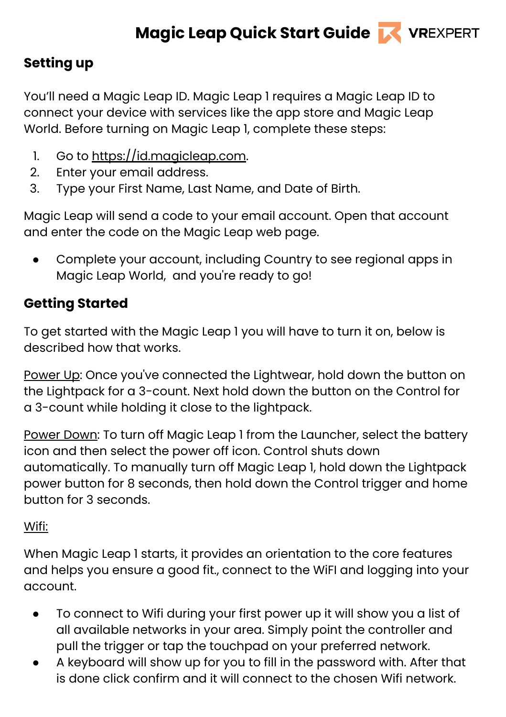# **Setting up**

You'll need a Magic Leap ID. Magic Leap 1 requires a Magic Leap ID to connect your device with services like the app store and Magic Leap World. Before turning on Magic Leap 1, complete these steps:

- 1. Go to [https://id.magicleap.com](https://id.magicleap.com/).
- 2. Enter your email address.
- 3. Type your First Name, Last Name, and Date of Birth.

Magic Leap will send a code to your email account. Open that account and enter the code on the Magic Leap web page.

Complete your account, including Country to see regional apps in Magic Leap World, and you're ready to go!

# **Getting Started**

To get started with the Magic Leap 1 you will have to turn it on, below is described how that works.

Power Up: Once you've connected the Lightwear, hold down the button on the Lightpack for a 3-count. Next hold down the button on the Control for a 3-count while holding it close to the lightpack.

Power Down: To turn off Magic Leap 1 from the Launcher, select the battery icon and then select the power off icon. Control shuts down automatically. To manually turn off Magic Leap 1, hold down the Lightpack power button for 8 seconds, then hold down the Control trigger and home button for 3 seconds.

## Wifi:

When Magic Leap 1 starts, it provides an orientation to the core features and helps you ensure a good fit., connect to the WiFI and logging into your account.

- To connect to Wifi during your first power up it will show you a list of all available networks in your area. Simply point the controller and pull the trigger or tap the touchpad on your preferred network.
- A keyboard will show up for you to fill in the password with. After that is done click confirm and it will connect to the chosen Wifi network.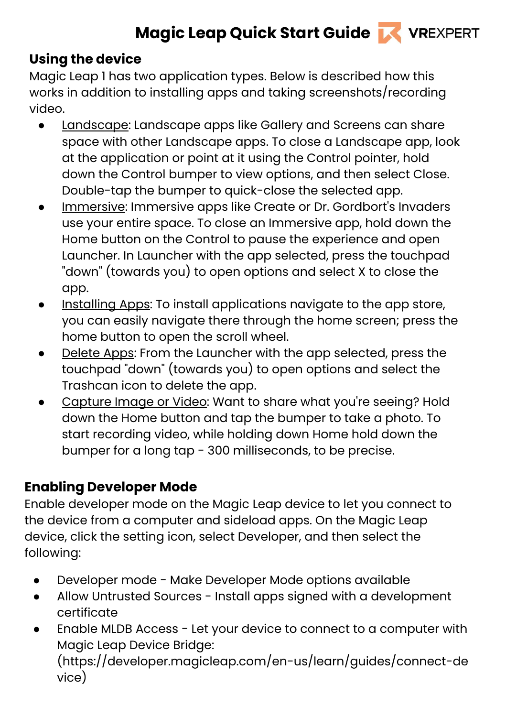# **Magic Leap Quick Start Guide K VREXPERT**

# **Using the device**

Magic Leap 1 has two application types. Below is described how this works in addition to installing apps and taking screenshots/recording video.

- Landscape: Landscape apps like Gallery and Screens can share space with other Landscape apps. To close a Landscape app, look at the application or point at it using the Control pointer, hold down the Control bumper to view options, and then select Close. Double-tap the bumper to quick-close the selected app.
- Immersive: Immersive apps like Create or Dr. Gordbort's Invaders use your entire space. To close an Immersive app, hold down the Home button on the Control to pause the experience and open Launcher. In Launcher with the app selected, press the touchpad "down" (towards you) to open options and select X to close the app.
- Installing Apps: To install applications navigate to the app store, you can easily navigate there through the home screen; press the home button to open the scroll wheel.
- Delete Apps: From the Launcher with the app selected, press the touchpad "down" (towards you) to open options and select the Trashcan icon to delete the app.
- Capture Image or Video: Want to share what you're seeing? Hold down the Home button and tap the bumper to take a photo. To start recording video, while holding down Home hold down the bumper for a long tap - 300 milliseconds, to be precise.

# **Enabling Developer Mode**

Enable developer mode on the Magic Leap device to let you connect to the device from a computer and sideload apps. On the Magic Leap device, click the setting icon, select Developer, and then select the following:

- Developer mode Make Developer Mode options available
- Allow Untrusted Sources Install apps signed with a development certificate
- Enable MLDB Access Let your device to connect to a computer with Magic Leap Device Bridge:

(https://developer.magicleap.com/en-us/learn/guides/connect-de vice)